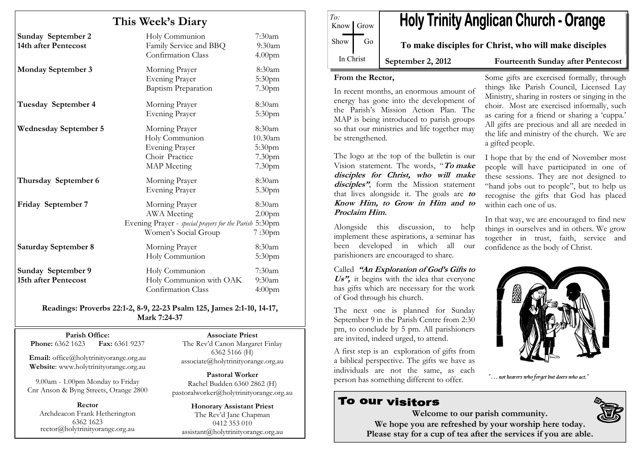# This Week's Diary

| <b>Sunday September 2</b><br>14th after Pentecost | Holy Communion<br>Family Service and BBQ<br>Confirmation Class                                                         | $7:30$ am<br>9:30 <sub>am</sub><br>4.00 <sub>pm</sub>       |
|---------------------------------------------------|------------------------------------------------------------------------------------------------------------------------|-------------------------------------------------------------|
| <b>Monday September 3</b>                         | Morning Prayer<br>Evening Prayer<br><b>Baptism Preparation</b>                                                         | 8:30am<br>5:30pm<br>7.30 <sub>pm</sub>                      |
| Tuesday September 4                               | Morning Prayer<br>Evening Prayer                                                                                       | 8:30am<br>5:30pm                                            |
| <b>Wednesday September 5</b>                      | Morning Prayer<br>Holy Communion<br>Evening Prayer<br>Choir Practice<br><b>MAP</b> Meeting                             | 8:30am<br>10.30am<br>5:30 <sub>pm</sub><br>7.30pm<br>7.30pm |
| Thursday September 6                              | Morning Prayer<br><b>Evening Prayer</b>                                                                                | 8:30am<br>5.30pm                                            |
| Friday September 7                                | Morning Prayer<br><b>AWA</b> Meeting<br>Evening Prayer - special prayers for the Parish 5:30pm<br>Women's Social Group | 8:30am<br>2.00 <sub>pm</sub><br>7:30 <sub>pm</sub>          |
| <b>Saturday September 8</b>                       | Morning Prayer<br>Holy Communion                                                                                       | 8:30am<br>5:30pm                                            |
| Sunday September 9<br>15th after Pentecost        | Holy Communion<br>Holy Communion with OAK<br>Confirmation Class                                                        | $7:30$ am<br>$9:30$ am<br>4:00 <sub>pm</sub>                |

Readings: Proverbs 22:1-2, 8-9, 22-23 Psalm 125, James 2:1-10, 14-17, Mark 7:24-37

Parish Office: Fax: 6361 9237 Phone: 6362 1623

Email: office@holytrinityorange.org.au Website: www.holytrinityorange.org.au

9.00am - 1.00pm Monday to Friday Cnr Anson & Byng Streets, Orange 2800

Rector Archdeacon Frank Hetherington 6362 1623 rector@holytrinityorange.org.au

Associate Priest The Rev'd Canon Margaret Finlay 6362 5166 (H) associate@holytrinityorange.org.au

Pastoral Worker Rachel Budden 6360 2862 (H) pastoralworker@holytrinityorange.org.au

Honorary Assistant Priest The Rev'd Jane Chapman 0412 353 010 assistant@holytrinityorange.org.au

**Holy Trinity Anglican Church - Orange** Know Grow Show Go To make disciples for Christ, who will make disciples In Christ September 2, 2012 Fourteenth Sunday after Pentecost

#### From the Rector,

To:

In recent months, an enormous amount of energy has gone into the development of the Parish's Mission Action Plan. The MAP is being introduced to parish groups so that our ministries and life together may be strengthened.

The logo at the top of the bulletin is our Vision statement. The words, "To make disciples for Christ, who will make disciples", form the Mission statement that lives alongside it. The goals are to Know Him, to Grow in Him and to Proclaim Him.

Alongside this discussion, to help implement these aspirations, a seminar has been developed in which all our parishioners are encouraged to share.

Called "An Exploration of God's Gifts to Us", it begins with the idea that everyone has gifts which are necessary for the work of God through his church.

The next one is planned for Sunday September 9 in the Parish Centre from 2:30 pm, to conclude by 5 pm. All parishioners are invited, indeed urged, to attend.

A first step is an exploration of gifts from a biblical perspective. The gifts we have as individuals are not the same, as each person has something different to offer.

# To our visitors

Some gifts are exercised formally, through things like Parish Council, Licensed Lay Ministry, sharing in rosters or singing in the choir. Most are exercised informally, such as caring for a friend or sharing a 'cuppa.'

All gifts are precious and all are needed in the life and ministry of the church. We are a gifted people.

I hope that by the end of November most people will have participated in one of these sessions. They are not designed to "hand jobs out to people", but to help us recognise the gifts that God has placed within each one of us.

In that way, we are encouraged to find new things in ourselves and in others. We grow together in trust, faith, service and confidence as the body of Christ.



"... not hearers who forget but doers who act."



Welcome to our parish community. We hope you are refreshed by your worship here today. Please stay for a cup of tea after the services if you are able.